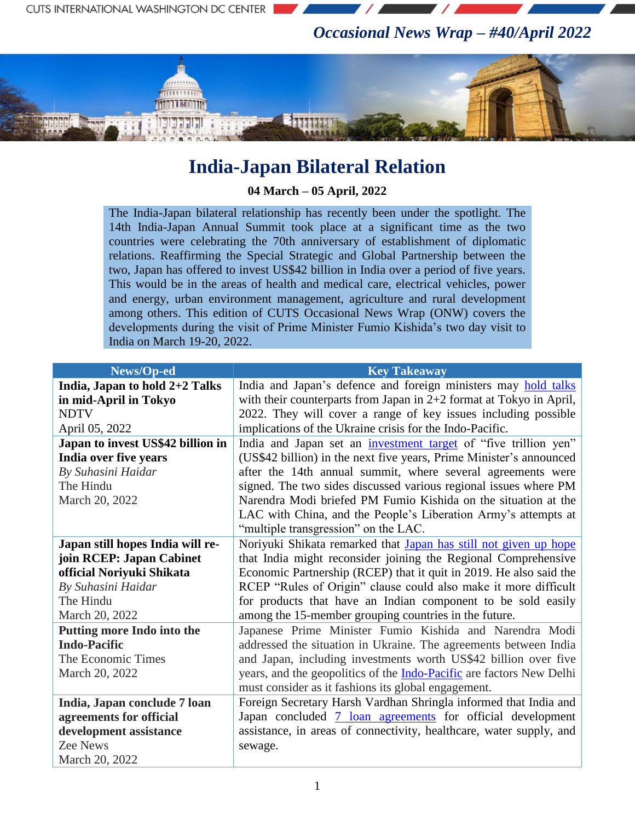*Occasional News Wrap – #40/April 2022*



## **India-Japan Bilateral Relation**

**04 March – 05 April, 2022**

The India-Japan bilateral relationship has recently been under the spotlight. The 14th India-Japan Annual Summit took place at a significant time as the two countries were celebrating the 70th anniversary of establishment of diplomatic relations. Reaffirming the Special Strategic and Global Partnership between the two, Japan has offered to invest US\$42 billion in India over a period of five years. This would be in the areas of health and medical care, electrical vehicles, power and energy, urban environment management, agriculture and rural development among others. This edition of CUTS Occasional News Wrap (ONW) covers the developments during the visit of Prime Minister Fumio Kishida"s two day visit to India on March 19-20, 2022.

| News/Op-ed                        | <b>Key Takeaway</b>                                                         |
|-----------------------------------|-----------------------------------------------------------------------------|
| India, Japan to hold 2+2 Talks    | India and Japan's defence and foreign ministers may hold talks              |
| in mid-April in Tokyo             | with their counterparts from Japan in $2+2$ format at Tokyo in April,       |
| <b>NDTV</b>                       | 2022. They will cover a range of key issues including possible              |
| April 05, 2022                    | implications of the Ukraine crisis for the Indo-Pacific.                    |
| Japan to invest US\$42 billion in | India and Japan set an investment target of "five trillion yen"             |
| India over five years             | (US\$42 billion) in the next five years, Prime Minister's announced         |
| By Suhasini Haidar                | after the 14th annual summit, where several agreements were                 |
| The Hindu                         | signed. The two sides discussed various regional issues where PM            |
| March 20, 2022                    | Narendra Modi briefed PM Fumio Kishida on the situation at the              |
|                                   | LAC with China, and the People's Liberation Army's attempts at              |
|                                   | "multiple transgression" on the LAC.                                        |
| Japan still hopes India will re-  | Noriyuki Shikata remarked that Japan has still not given up hope            |
| join RCEP: Japan Cabinet          | that India might reconsider joining the Regional Comprehensive              |
| official Noriyuki Shikata         | Economic Partnership (RCEP) that it quit in 2019. He also said the          |
| By Suhasini Haidar                | RCEP "Rules of Origin" clause could also make it more difficult             |
| The Hindu                         | for products that have an Indian component to be sold easily                |
| March 20, 2022                    | among the 15-member grouping countries in the future.                       |
| Putting more Indo into the        | Japanese Prime Minister Fumio Kishida and Narendra Modi                     |
| <b>Indo-Pacific</b>               | addressed the situation in Ukraine. The agreements between India            |
| The Economic Times                | and Japan, including investments worth US\$42 billion over five             |
| March 20, 2022                    | years, and the geopolitics of the <b>Indo-Pacific</b> are factors New Delhi |
|                                   | must consider as it fashions its global engagement.                         |
| India, Japan conclude 7 loan      | Foreign Secretary Harsh Vardhan Shringla informed that India and            |
| agreements for official           | Japan concluded 7 loan agreements for official development                  |
| development assistance            | assistance, in areas of connectivity, healthcare, water supply, and         |
| Zee News                          | sewage.                                                                     |
| March 20, 2022                    |                                                                             |